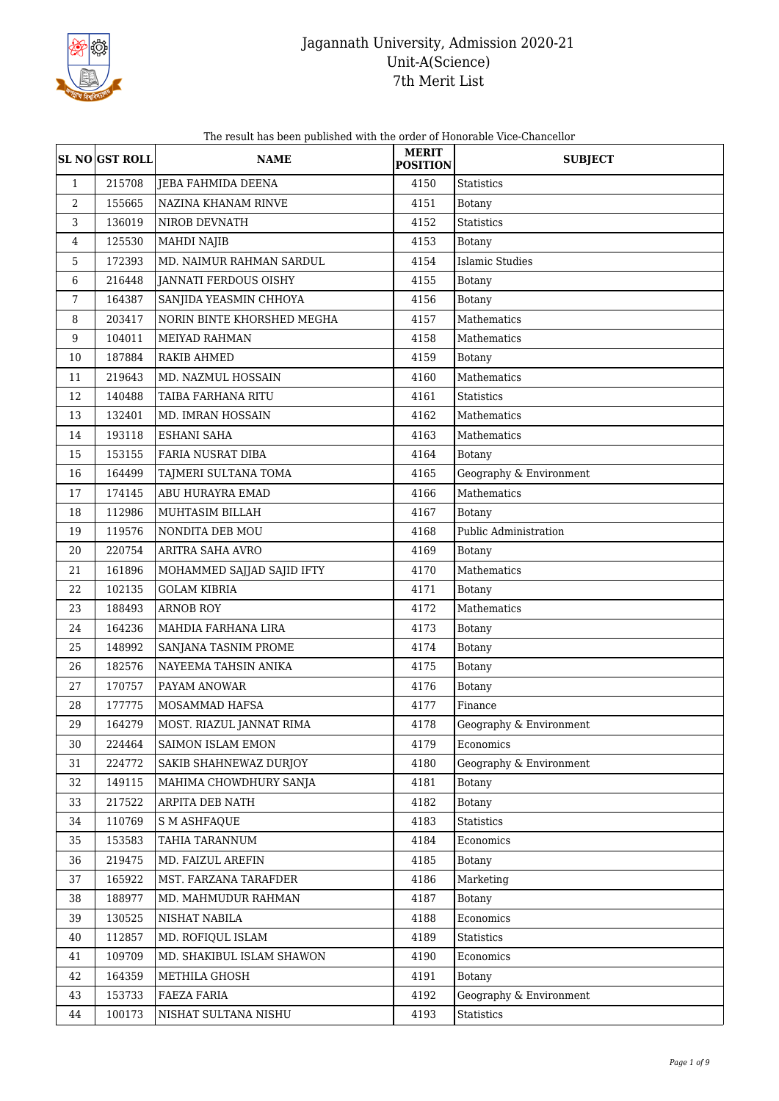

The result has been published with the order of Honorable Vice-Chancellor

|                  | <b>SL NO GST ROLL</b> | <b>NAME</b>                  | <b>MERIT</b><br><b>POSITION</b> | <b>SUBJECT</b>          |
|------------------|-----------------------|------------------------------|---------------------------------|-------------------------|
| $\mathbf{1}$     | 215708                | <b>JEBA FAHMIDA DEENA</b>    | 4150                            | <b>Statistics</b>       |
| $\overline{2}$   | 155665                | NAZINA KHANAM RINVE          | 4151                            | <b>Botany</b>           |
| 3                | 136019                | NIROB DEVNATH                | 4152                            | <b>Statistics</b>       |
| $\overline{4}$   | 125530                | <b>MAHDI NAJIB</b>           | 4153                            | <b>Botany</b>           |
| 5                | 172393                | MD. NAIMUR RAHMAN SARDUL     | 4154                            | <b>Islamic Studies</b>  |
| 6                | 216448                | <b>JANNATI FERDOUS OISHY</b> | 4155                            | Botany                  |
| $\overline{7}$   | 164387                | SANJIDA YEASMIN CHHOYA       | 4156                            | <b>Botany</b>           |
| 8                | 203417                | NORIN BINTE KHORSHED MEGHA   | 4157                            | Mathematics             |
| $\boldsymbol{9}$ | 104011                | MEIYAD RAHMAN                | 4158                            | Mathematics             |
| 10               | 187884                | RAKIB AHMED                  | 4159                            | <b>Botany</b>           |
| 11               | 219643                | MD. NAZMUL HOSSAIN           | 4160                            | Mathematics             |
| 12               | 140488                | TAIBA FARHANA RITU           | 4161                            | <b>Statistics</b>       |
| 13               | 132401                | MD. IMRAN HOSSAIN            | 4162                            | Mathematics             |
| 14               | 193118                | <b>ESHANI SAHA</b>           | 4163                            | Mathematics             |
| 15               | 153155                | FARIA NUSRAT DIBA            | 4164                            | <b>Botany</b>           |
| 16               | 164499                | TAJMERI SULTANA TOMA         | 4165                            | Geography & Environment |
| 17               | 174145                | ABU HURAYRA EMAD             | 4166                            | Mathematics             |
| 18               | 112986                | MUHTASIM BILLAH              | 4167                            | <b>Botany</b>           |
| 19               | 119576                | NONDITA DEB MOU              | 4168                            | Public Administration   |
| 20               | 220754                | ARITRA SAHA AVRO             | 4169                            | <b>Botany</b>           |
| 21               | 161896                | MOHAMMED SAJJAD SAJID IFTY   | 4170                            | Mathematics             |
| 22               | 102135                | <b>GOLAM KIBRIA</b>          | 4171                            | <b>Botany</b>           |
| 23               | 188493                | <b>ARNOB ROY</b>             | 4172                            | Mathematics             |
| 24               | 164236                | MAHDIA FARHANA LIRA          | 4173                            | <b>Botany</b>           |
| 25               | 148992                | SANJANA TASNIM PROME         | 4174                            | <b>Botany</b>           |
| 26               | 182576                | NAYEEMA TAHSIN ANIKA         | 4175                            | <b>Botany</b>           |
| 27               | 170757                | PAYAM ANOWAR                 | 4176                            | <b>Botany</b>           |
| 28               | 177775                | MOSAMMAD HAFSA               | 4177                            | Finance                 |
| 29               | 164279                | MOST. RIAZUL JANNAT RIMA     | 4178                            | Geography & Environment |
| 30               | 224464                | SAIMON ISLAM EMON            | 4179                            | Economics               |
| 31               | 224772                | SAKIB SHAHNEWAZ DURJOY       | 4180                            | Geography & Environment |
| 32               | 149115                | MAHIMA CHOWDHURY SANJA       | 4181                            | Botany                  |
| 33               | 217522                | ARPITA DEB NATH              | 4182                            | <b>Botany</b>           |
| 34               | 110769                | <b>S M ASHFAQUE</b>          | 4183                            | <b>Statistics</b>       |
| 35               | 153583                | TAHIA TARANNUM               | 4184                            | Economics               |
| 36               | 219475                | MD. FAIZUL AREFIN            | 4185                            | Botany                  |
| 37               | 165922                | MST. FARZANA TARAFDER        | 4186                            | Marketing               |
| 38               | 188977                | MD. MAHMUDUR RAHMAN          | 4187                            | <b>Botany</b>           |
| 39               | 130525                | NISHAT NABILA                | 4188                            | Economics               |
| 40               | 112857                | MD. ROFIQUL ISLAM            | 4189                            | <b>Statistics</b>       |
| 41               | 109709                | MD. SHAKIBUL ISLAM SHAWON    | 4190                            | Economics               |
| 42               | 164359                | METHILA GHOSH                | 4191                            | Botany                  |
| 43               | 153733                | FAEZA FARIA                  | 4192                            | Geography & Environment |
| 44               | 100173                | NISHAT SULTANA NISHU         | 4193                            | <b>Statistics</b>       |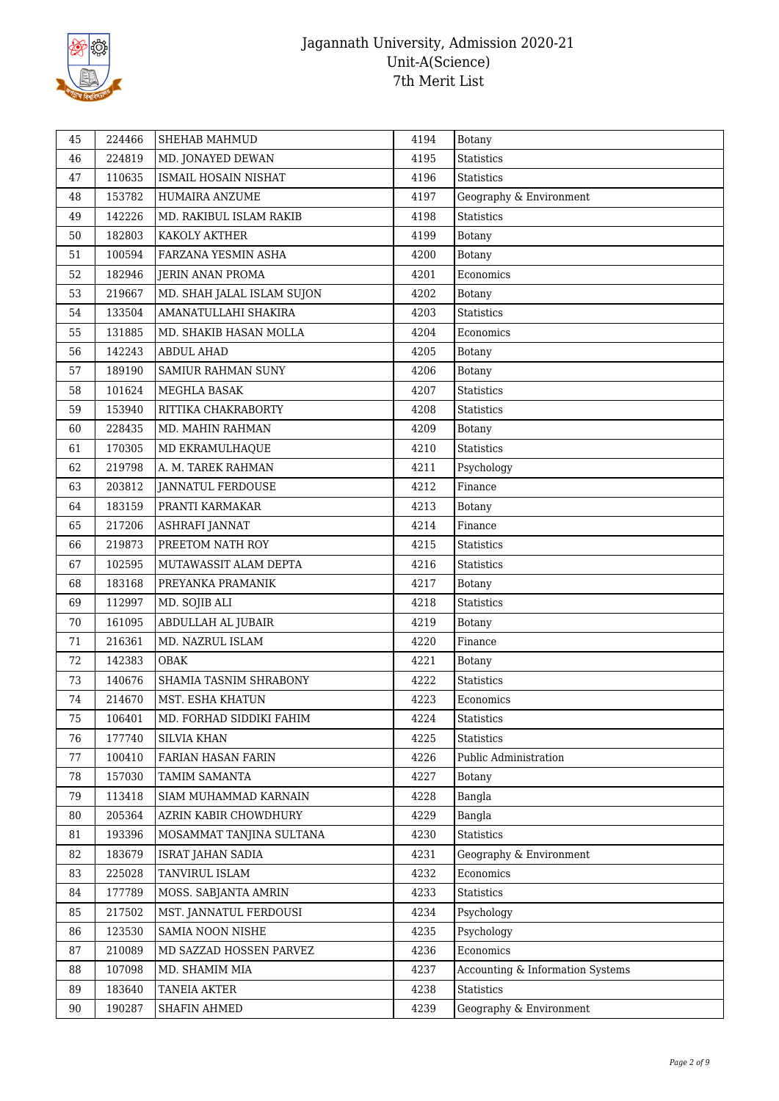

| 45 | 224466 | SHEHAB MAHMUD              | 4194 | <b>Botany</b>                    |
|----|--------|----------------------------|------|----------------------------------|
| 46 | 224819 | MD. JONAYED DEWAN          | 4195 | Statistics                       |
| 47 | 110635 | ISMAIL HOSAIN NISHAT       | 4196 | <b>Statistics</b>                |
| 48 | 153782 | HUMAIRA ANZUME             | 4197 | Geography & Environment          |
| 49 | 142226 | MD. RAKIBUL ISLAM RAKIB    | 4198 | <b>Statistics</b>                |
| 50 | 182803 | KAKOLY AKTHER              | 4199 | <b>Botany</b>                    |
| 51 | 100594 | FARZANA YESMIN ASHA        | 4200 | <b>Botany</b>                    |
| 52 | 182946 | <b>JERIN ANAN PROMA</b>    | 4201 | Economics                        |
| 53 | 219667 | MD. SHAH JALAL ISLAM SUJON | 4202 | <b>Botany</b>                    |
| 54 | 133504 | AMANATULLAHI SHAKIRA       | 4203 | <b>Statistics</b>                |
| 55 | 131885 | MD. SHAKIB HASAN MOLLA     | 4204 | Economics                        |
| 56 | 142243 | <b>ABDUL AHAD</b>          | 4205 | Botany                           |
| 57 | 189190 | <b>SAMIUR RAHMAN SUNY</b>  | 4206 | Botany                           |
| 58 | 101624 | MEGHLA BASAK               | 4207 | Statistics                       |
| 59 | 153940 | RITTIKA CHAKRABORTY        | 4208 | Statistics                       |
| 60 | 228435 | MD. MAHIN RAHMAN           | 4209 | Botany                           |
| 61 | 170305 | MD EKRAMULHAQUE            | 4210 | Statistics                       |
| 62 | 219798 | A. M. TAREK RAHMAN         | 4211 | Psychology                       |
| 63 | 203812 | <b>JANNATUL FERDOUSE</b>   | 4212 | Finance                          |
| 64 | 183159 | PRANTI KARMAKAR            | 4213 | <b>Botany</b>                    |
| 65 | 217206 | ASHRAFI JANNAT             | 4214 | Finance                          |
| 66 | 219873 | PREETOM NATH ROY           | 4215 | <b>Statistics</b>                |
| 67 | 102595 | MUTAWASSIT ALAM DEPTA      | 4216 | Statistics                       |
| 68 | 183168 | PREYANKA PRAMANIK          | 4217 | Botany                           |
| 69 | 112997 | MD. SOJIB ALI              | 4218 | Statistics                       |
| 70 | 161095 | ABDULLAH AL JUBAIR         | 4219 | Botany                           |
| 71 | 216361 | MD. NAZRUL ISLAM           | 4220 | Finance                          |
| 72 | 142383 | OBAK                       | 4221 | <b>Botany</b>                    |
| 73 | 140676 | SHAMIA TASNIM SHRABONY     | 4222 | Statistics                       |
| 74 | 214670 | MST. ESHA KHATUN           | 4223 | Economics                        |
| 75 | 106401 | MD. FORHAD SIDDIKI FAHIM   | 4224 | <b>Statistics</b>                |
| 76 | 177740 | <b>SILVIA KHAN</b>         | 4225 | Statistics                       |
| 77 | 100410 | FARIAN HASAN FARIN         | 4226 | Public Administration            |
| 78 | 157030 | TAMIM SAMANTA              | 4227 | <b>Botany</b>                    |
| 79 | 113418 | SIAM MUHAMMAD KARNAIN      | 4228 | Bangla                           |
| 80 | 205364 | AZRIN KABIR CHOWDHURY      | 4229 | Bangla                           |
| 81 | 193396 | MOSAMMAT TANJINA SULTANA   | 4230 | Statistics                       |
| 82 | 183679 | ISRAT JAHAN SADIA          | 4231 | Geography & Environment          |
| 83 | 225028 | TANVIRUL ISLAM             | 4232 | Economics                        |
| 84 | 177789 | MOSS. SABJANTA AMRIN       | 4233 | Statistics                       |
| 85 | 217502 | MST. JANNATUL FERDOUSI     | 4234 | Psychology                       |
| 86 | 123530 | SAMIA NOON NISHE           | 4235 | Psychology                       |
| 87 | 210089 | MD SAZZAD HOSSEN PARVEZ    | 4236 | Economics                        |
| 88 | 107098 | MD. SHAMIM MIA             | 4237 | Accounting & Information Systems |
| 89 | 183640 | TANEIA AKTER               | 4238 | Statistics                       |
| 90 | 190287 | SHAFIN AHMED               | 4239 | Geography & Environment          |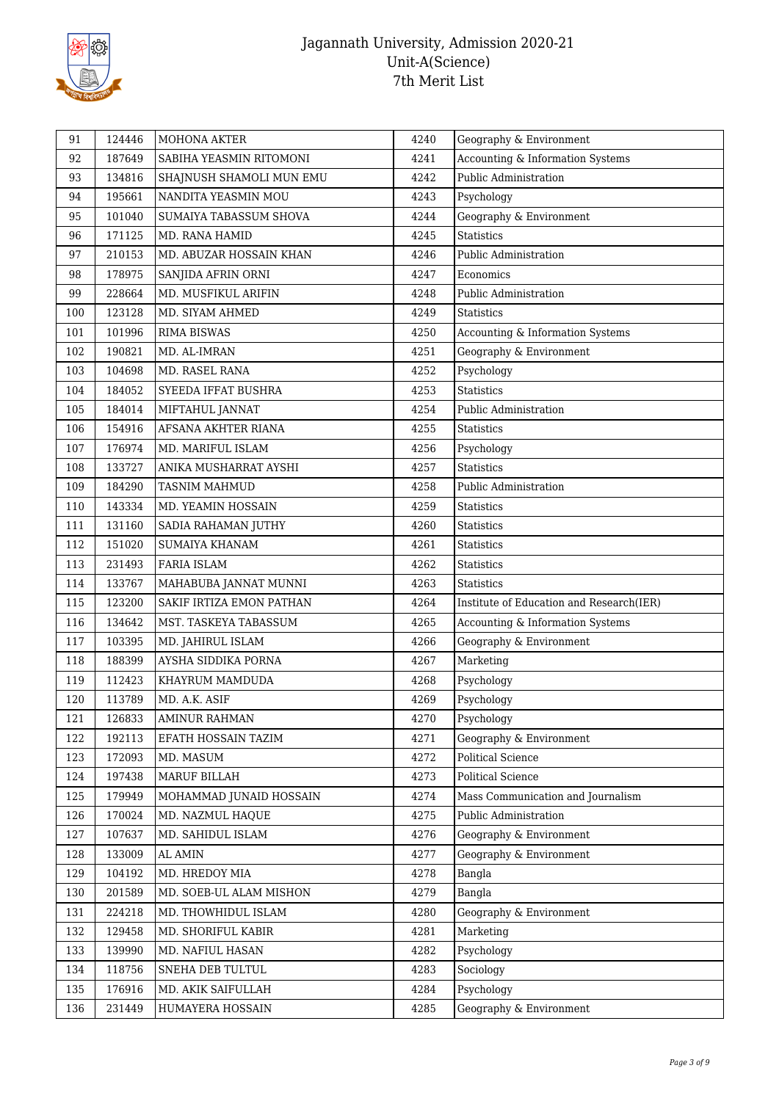

| 91  | 124446 | <b>MOHONA AKTER</b>      | 4240 | Geography & Environment                  |
|-----|--------|--------------------------|------|------------------------------------------|
| 92  | 187649 | SABIHA YEASMIN RITOMONI  | 4241 | Accounting & Information Systems         |
| 93  | 134816 | SHAJNUSH SHAMOLI MUN EMU | 4242 | Public Administration                    |
| 94  | 195661 | NANDITA YEASMIN MOU      | 4243 | Psychology                               |
| 95  | 101040 | SUMAIYA TABASSUM SHOVA   | 4244 | Geography & Environment                  |
| 96  | 171125 | MD. RANA HAMID           | 4245 | <b>Statistics</b>                        |
| 97  | 210153 | MD. ABUZAR HOSSAIN KHAN  | 4246 | Public Administration                    |
| 98  | 178975 | SANJIDA AFRIN ORNI       | 4247 | Economics                                |
| 99  | 228664 | MD. MUSFIKUL ARIFIN      | 4248 | Public Administration                    |
| 100 | 123128 | MD. SIYAM AHMED          | 4249 | <b>Statistics</b>                        |
| 101 | 101996 | <b>RIMA BISWAS</b>       | 4250 | Accounting & Information Systems         |
| 102 | 190821 | MD. AL-IMRAN             | 4251 | Geography & Environment                  |
| 103 | 104698 | MD. RASEL RANA           | 4252 | Psychology                               |
| 104 | 184052 | SYEEDA IFFAT BUSHRA      | 4253 | <b>Statistics</b>                        |
| 105 | 184014 | MIFTAHUL JANNAT          | 4254 | Public Administration                    |
| 106 | 154916 | AFSANA AKHTER RIANA      | 4255 | Statistics                               |
| 107 | 176974 | MD. MARIFUL ISLAM        | 4256 | Psychology                               |
| 108 | 133727 | ANIKA MUSHARRAT AYSHI    | 4257 | Statistics                               |
| 109 | 184290 | <b>TASNIM MAHMUD</b>     | 4258 | Public Administration                    |
| 110 | 143334 | MD. YEAMIN HOSSAIN       | 4259 | Statistics                               |
| 111 | 131160 | SADIA RAHAMAN JUTHY      | 4260 | <b>Statistics</b>                        |
| 112 | 151020 | SUMAIYA KHANAM           | 4261 | <b>Statistics</b>                        |
| 113 | 231493 | FARIA ISLAM              | 4262 | Statistics                               |
| 114 | 133767 | MAHABUBA JANNAT MUNNI    | 4263 | <b>Statistics</b>                        |
| 115 | 123200 | SAKIF IRTIZA EMON PATHAN | 4264 | Institute of Education and Research(IER) |
| 116 | 134642 | MST. TASKEYA TABASSUM    | 4265 | Accounting & Information Systems         |
| 117 | 103395 | MD. JAHIRUL ISLAM        | 4266 | Geography & Environment                  |
| 118 | 188399 | AYSHA SIDDIKA PORNA      | 4267 | Marketing                                |
| 119 | 112423 | KHAYRUM MAMDUDA          | 4268 | Psychology                               |
| 120 | 113789 | MD. A.K. ASIF            | 4269 | Psychology                               |
| 121 | 126833 | <b>AMINUR RAHMAN</b>     | 4270 | Psychology                               |
| 122 | 192113 | EFATH HOSSAIN TAZIM      | 4271 | Geography & Environment                  |
| 123 | 172093 | MD. MASUM                | 4272 | Political Science                        |
| 124 | 197438 | MARUF BILLAH             | 4273 | Political Science                        |
| 125 | 179949 | MOHAMMAD JUNAID HOSSAIN  | 4274 | Mass Communication and Journalism        |
| 126 | 170024 | MD. NAZMUL HAQUE         | 4275 | Public Administration                    |
| 127 | 107637 | MD. SAHIDUL ISLAM        | 4276 | Geography & Environment                  |
| 128 | 133009 | AL AMIN                  | 4277 | Geography & Environment                  |
| 129 | 104192 | MD. HREDOY MIA           | 4278 | Bangla                                   |
| 130 | 201589 | MD. SOEB-UL ALAM MISHON  | 4279 | Bangla                                   |
| 131 | 224218 | MD. THOWHIDUL ISLAM      | 4280 | Geography & Environment                  |
| 132 | 129458 | MD. SHORIFUL KABIR       | 4281 | Marketing                                |
| 133 | 139990 | MD. NAFIUL HASAN         | 4282 | Psychology                               |
| 134 | 118756 | SNEHA DEB TULTUL         | 4283 | Sociology                                |
| 135 | 176916 | MD. AKIK SAIFULLAH       | 4284 | Psychology                               |
| 136 | 231449 | HUMAYERA HOSSAIN         | 4285 | Geography & Environment                  |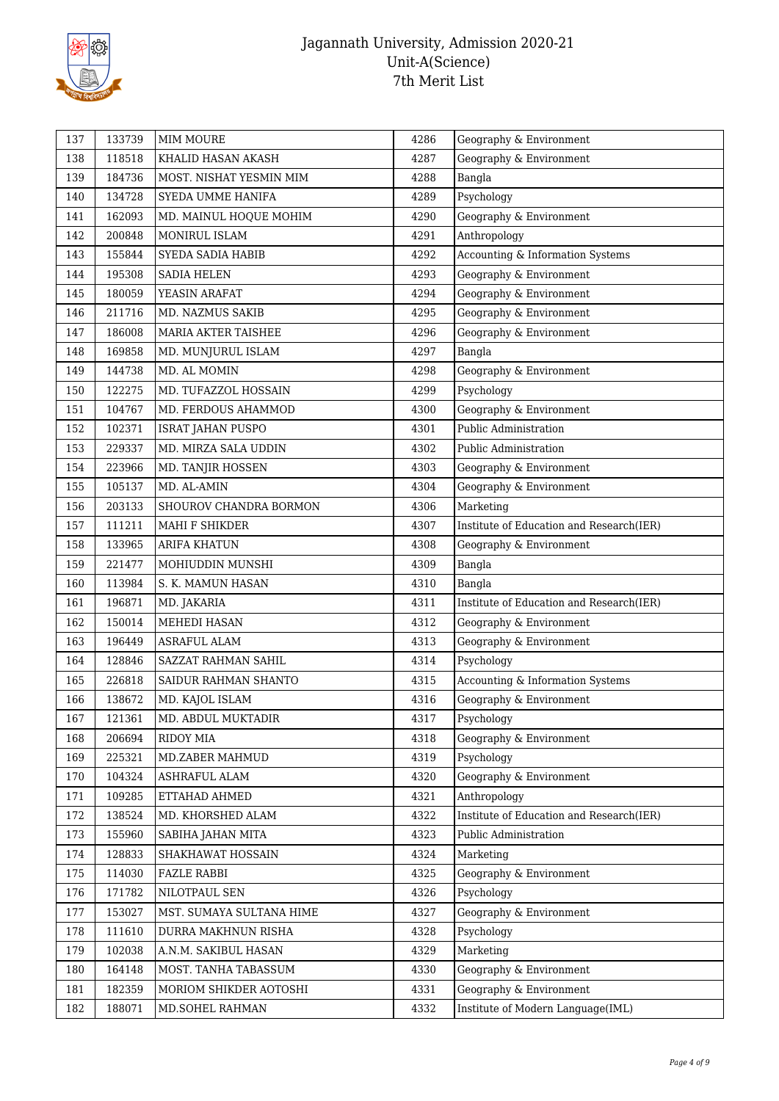

| 137 | 133739 | <b>MIM MOURE</b>           | 4286 | Geography & Environment                  |
|-----|--------|----------------------------|------|------------------------------------------|
| 138 | 118518 | KHALID HASAN AKASH         | 4287 | Geography & Environment                  |
| 139 | 184736 | MOST. NISHAT YESMIN MIM    | 4288 | Bangla                                   |
| 140 | 134728 | SYEDA UMME HANIFA          | 4289 | Psychology                               |
| 141 | 162093 | MD. MAINUL HOQUE MOHIM     | 4290 | Geography & Environment                  |
| 142 | 200848 | MONIRUL ISLAM              | 4291 | Anthropology                             |
| 143 | 155844 | SYEDA SADIA HABIB          | 4292 | Accounting & Information Systems         |
| 144 | 195308 | SADIA HELEN                | 4293 | Geography & Environment                  |
| 145 | 180059 | YEASIN ARAFAT              | 4294 | Geography & Environment                  |
| 146 | 211716 | MD. NAZMUS SAKIB           | 4295 | Geography & Environment                  |
| 147 | 186008 | <b>MARIA AKTER TAISHEE</b> | 4296 | Geography & Environment                  |
| 148 | 169858 | MD. MUNJURUL ISLAM         | 4297 | Bangla                                   |
| 149 | 144738 | MD. AL MOMIN               | 4298 | Geography & Environment                  |
| 150 | 122275 | MD. TUFAZZOL HOSSAIN       | 4299 | Psychology                               |
| 151 | 104767 | MD. FERDOUS AHAMMOD        | 4300 | Geography & Environment                  |
| 152 | 102371 | <b>ISRAT JAHAN PUSPO</b>   | 4301 | Public Administration                    |
| 153 | 229337 | MD. MIRZA SALA UDDIN       | 4302 | Public Administration                    |
| 154 | 223966 | MD. TANJIR HOSSEN          | 4303 | Geography & Environment                  |
| 155 | 105137 | MD. AL-AMIN                | 4304 | Geography & Environment                  |
| 156 | 203133 | SHOUROV CHANDRA BORMON     | 4306 | Marketing                                |
| 157 | 111211 | MAHI F SHIKDER             | 4307 | Institute of Education and Research(IER) |
| 158 | 133965 | <b>ARIFA KHATUN</b>        | 4308 | Geography & Environment                  |
| 159 | 221477 | MOHIUDDIN MUNSHI           | 4309 | Bangla                                   |
| 160 | 113984 | S. K. MAMUN HASAN          | 4310 | Bangla                                   |
| 161 | 196871 | MD. JAKARIA                | 4311 | Institute of Education and Research(IER) |
| 162 | 150014 | MEHEDI HASAN               | 4312 | Geography & Environment                  |
| 163 | 196449 | <b>ASRAFUL ALAM</b>        | 4313 | Geography & Environment                  |
| 164 | 128846 | SAZZAT RAHMAN SAHIL        | 4314 | Psychology                               |
| 165 | 226818 | SAIDUR RAHMAN SHANTO       | 4315 | Accounting & Information Systems         |
| 166 | 138672 | MD. KAJOL ISLAM            | 4316 | Geography & Environment                  |
| 167 | 121361 | MD. ABDUL MUKTADIR         | 4317 | Psychology                               |
| 168 | 206694 | <b>RIDOY MIA</b>           | 4318 | Geography & Environment                  |
| 169 | 225321 | MD.ZABER MAHMUD            | 4319 | Psychology                               |
| 170 | 104324 | ASHRAFUL ALAM              | 4320 | Geography & Environment                  |
| 171 | 109285 | ETTAHAD AHMED              | 4321 | Anthropology                             |
| 172 | 138524 | MD. KHORSHED ALAM          | 4322 | Institute of Education and Research(IER) |
| 173 | 155960 | SABIHA JAHAN MITA          | 4323 | Public Administration                    |
| 174 | 128833 | SHAKHAWAT HOSSAIN          | 4324 | Marketing                                |
| 175 | 114030 | <b>FAZLE RABBI</b>         | 4325 | Geography & Environment                  |
| 176 | 171782 | NILOTPAUL SEN              | 4326 | Psychology                               |
| 177 | 153027 | MST. SUMAYA SULTANA HIME   | 4327 | Geography & Environment                  |
| 178 | 111610 | DURRA MAKHNUN RISHA        | 4328 | Psychology                               |
| 179 | 102038 | A.N.M. SAKIBUL HASAN       | 4329 | Marketing                                |
| 180 | 164148 | MOST. TANHA TABASSUM       | 4330 | Geography & Environment                  |
| 181 | 182359 | MORIOM SHIKDER AOTOSHI     | 4331 | Geography & Environment                  |
| 182 | 188071 | MD.SOHEL RAHMAN            | 4332 | Institute of Modern Language(IML)        |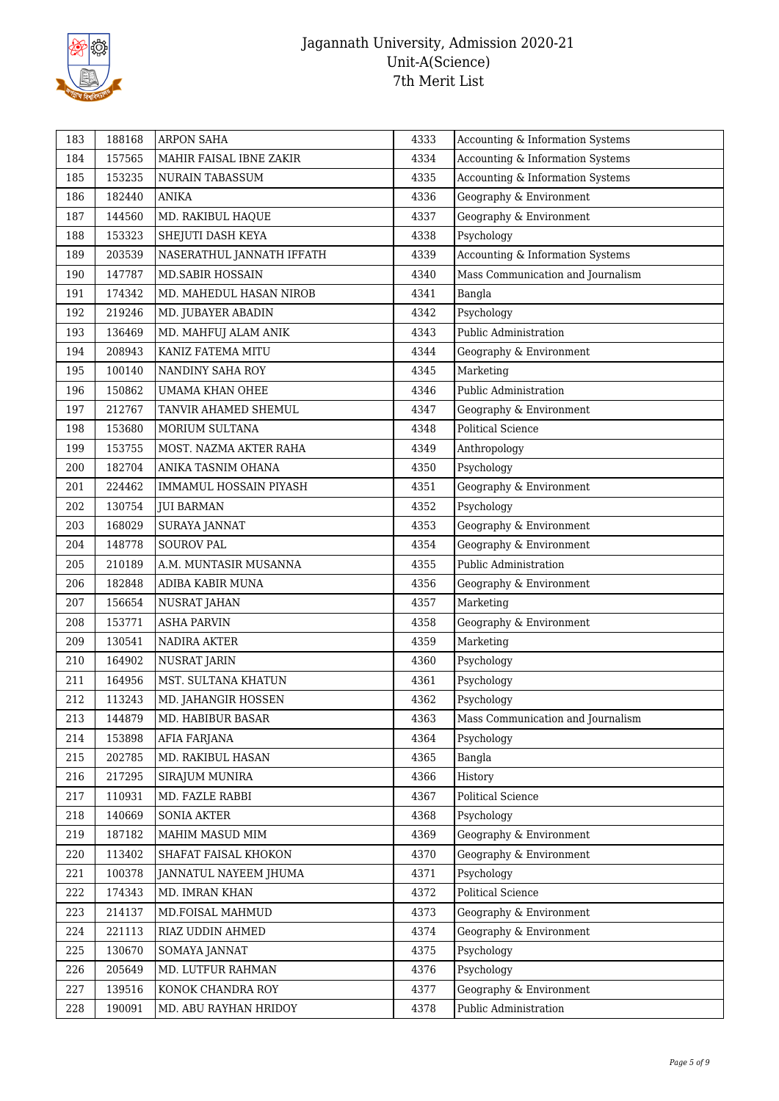

| 183 | 188168 | <b>ARPON SAHA</b>         | 4333 | Accounting & Information Systems  |
|-----|--------|---------------------------|------|-----------------------------------|
| 184 | 157565 | MAHIR FAISAL IBNE ZAKIR   | 4334 | Accounting & Information Systems  |
| 185 | 153235 | <b>NURAIN TABASSUM</b>    | 4335 | Accounting & Information Systems  |
| 186 | 182440 | <b>ANIKA</b>              | 4336 | Geography & Environment           |
| 187 | 144560 | MD. RAKIBUL HAQUE         | 4337 | Geography & Environment           |
| 188 | 153323 | SHEJUTI DASH KEYA         | 4338 | Psychology                        |
| 189 | 203539 | NASERATHUL JANNATH IFFATH | 4339 | Accounting & Information Systems  |
| 190 | 147787 | <b>MD.SABIR HOSSAIN</b>   | 4340 | Mass Communication and Journalism |
| 191 | 174342 | MD. MAHEDUL HASAN NIROB   | 4341 | Bangla                            |
| 192 | 219246 | MD. JUBAYER ABADIN        | 4342 | Psychology                        |
| 193 | 136469 | MD. MAHFUJ ALAM ANIK      | 4343 | Public Administration             |
| 194 | 208943 | KANIZ FATEMA MITU         | 4344 | Geography & Environment           |
| 195 | 100140 | NANDINY SAHA ROY          | 4345 | Marketing                         |
| 196 | 150862 | UMAMA KHAN OHEE           | 4346 | Public Administration             |
| 197 | 212767 | TANVIR AHAMED SHEMUL      | 4347 | Geography & Environment           |
| 198 | 153680 | <b>MORIUM SULTANA</b>     | 4348 | <b>Political Science</b>          |
| 199 | 153755 | MOST. NAZMA AKTER RAHA    | 4349 | Anthropology                      |
| 200 | 182704 | ANIKA TASNIM OHANA        | 4350 | Psychology                        |
| 201 | 224462 | IMMAMUL HOSSAIN PIYASH    | 4351 | Geography & Environment           |
| 202 | 130754 | <b>JUI BARMAN</b>         | 4352 | Psychology                        |
| 203 | 168029 | <b>SURAYA JANNAT</b>      | 4353 | Geography & Environment           |
| 204 | 148778 | <b>SOUROV PAL</b>         | 4354 | Geography & Environment           |
| 205 | 210189 | A.M. MUNTASIR MUSANNA     | 4355 | Public Administration             |
| 206 | 182848 | ADIBA KABIR MUNA          | 4356 | Geography & Environment           |
| 207 | 156654 | NUSRAT JAHAN              | 4357 | Marketing                         |
| 208 | 153771 | <b>ASHA PARVIN</b>        | 4358 | Geography & Environment           |
| 209 | 130541 | NADIRA AKTER              | 4359 | Marketing                         |
| 210 | 164902 | NUSRAT JARIN              | 4360 | Psychology                        |
| 211 | 164956 | MST. SULTANA KHATUN       | 4361 | Psychology                        |
| 212 | 113243 | MD. JAHANGIR HOSSEN       | 4362 | Psychology                        |
| 213 | 144879 | MD. HABIBUR BASAR         | 4363 | Mass Communication and Journalism |
| 214 | 153898 | AFIA FARJANA              | 4364 | Psychology                        |
| 215 | 202785 | MD. RAKIBUL HASAN         | 4365 | Bangla                            |
| 216 | 217295 | <b>SIRAJUM MUNIRA</b>     | 4366 | History                           |
| 217 | 110931 | MD. FAZLE RABBI           | 4367 | Political Science                 |
| 218 | 140669 | <b>SONIA AKTER</b>        | 4368 | Psychology                        |
| 219 | 187182 | MAHIM MASUD MIM           | 4369 | Geography & Environment           |
| 220 | 113402 | SHAFAT FAISAL KHOKON      | 4370 | Geography & Environment           |
| 221 | 100378 | JANNATUL NAYEEM JHUMA     | 4371 | Psychology                        |
| 222 | 174343 | MD. IMRAN KHAN            | 4372 | Political Science                 |
| 223 | 214137 | MD.FOISAL MAHMUD          | 4373 | Geography & Environment           |
| 224 | 221113 | RIAZ UDDIN AHMED          | 4374 | Geography & Environment           |
| 225 | 130670 | SOMAYA JANNAT             | 4375 | Psychology                        |
| 226 | 205649 | MD. LUTFUR RAHMAN         | 4376 | Psychology                        |
| 227 | 139516 | KONOK CHANDRA ROY         | 4377 | Geography & Environment           |
| 228 | 190091 | MD. ABU RAYHAN HRIDOY     | 4378 | Public Administration             |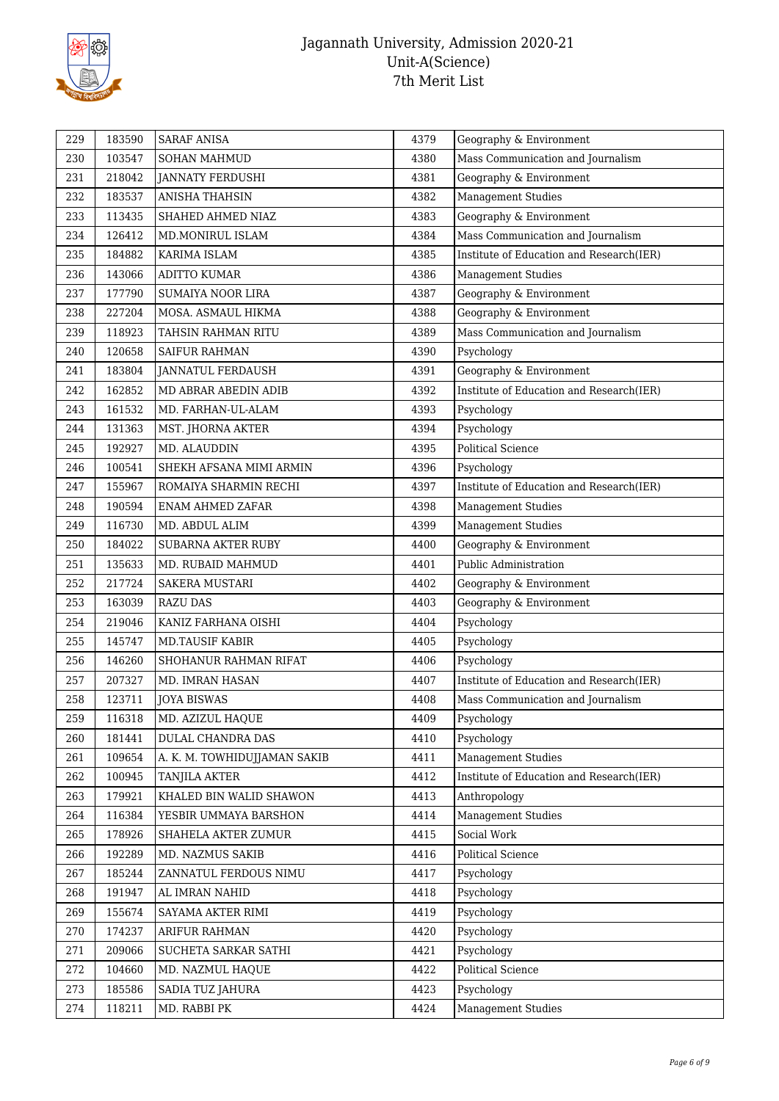

| 229 | 183590 | <b>SARAF ANISA</b>           | 4379 | Geography & Environment                  |
|-----|--------|------------------------------|------|------------------------------------------|
| 230 | 103547 | <b>SOHAN MAHMUD</b>          | 4380 | Mass Communication and Journalism        |
| 231 | 218042 | JANNATY FERDUSHI             | 4381 | Geography & Environment                  |
| 232 | 183537 | <b>ANISHA THAHSIN</b>        | 4382 | <b>Management Studies</b>                |
| 233 | 113435 | SHAHED AHMED NIAZ            | 4383 | Geography & Environment                  |
| 234 | 126412 | MD.MONIRUL ISLAM             | 4384 | Mass Communication and Journalism        |
| 235 | 184882 | KARIMA ISLAM                 | 4385 | Institute of Education and Research(IER) |
| 236 | 143066 | <b>ADITTO KUMAR</b>          | 4386 | <b>Management Studies</b>                |
| 237 | 177790 | <b>SUMAIYA NOOR LIRA</b>     | 4387 | Geography & Environment                  |
| 238 | 227204 | MOSA. ASMAUL HIKMA           | 4388 | Geography & Environment                  |
| 239 | 118923 | TAHSIN RAHMAN RITU           | 4389 | Mass Communication and Journalism        |
| 240 | 120658 | <b>SAIFUR RAHMAN</b>         | 4390 | Psychology                               |
| 241 | 183804 | <b>JANNATUL FERDAUSH</b>     | 4391 | Geography & Environment                  |
| 242 | 162852 | MD ABRAR ABEDIN ADIB         | 4392 | Institute of Education and Research(IER) |
| 243 | 161532 | MD. FARHAN-UL-ALAM           | 4393 | Psychology                               |
| 244 | 131363 | MST. JHORNA AKTER            | 4394 | Psychology                               |
| 245 | 192927 | MD. ALAUDDIN                 | 4395 | <b>Political Science</b>                 |
| 246 | 100541 | SHEKH AFSANA MIMI ARMIN      | 4396 | Psychology                               |
| 247 | 155967 | ROMAIYA SHARMIN RECHI        | 4397 | Institute of Education and Research(IER) |
| 248 | 190594 | <b>ENAM AHMED ZAFAR</b>      | 4398 | <b>Management Studies</b>                |
| 249 | 116730 | MD. ABDUL ALIM               | 4399 | <b>Management Studies</b>                |
| 250 | 184022 | <b>SUBARNA AKTER RUBY</b>    | 4400 | Geography & Environment                  |
| 251 | 135633 | MD. RUBAID MAHMUD            | 4401 | Public Administration                    |
| 252 | 217724 | <b>SAKERA MUSTARI</b>        | 4402 | Geography & Environment                  |
| 253 | 163039 | <b>RAZU DAS</b>              | 4403 | Geography & Environment                  |
| 254 | 219046 | KANIZ FARHANA OISHI          | 4404 | Psychology                               |
| 255 | 145747 | <b>MD.TAUSIF KABIR</b>       | 4405 | Psychology                               |
| 256 | 146260 | SHOHANUR RAHMAN RIFAT        | 4406 | Psychology                               |
| 257 | 207327 | MD. IMRAN HASAN              | 4407 | Institute of Education and Research(IER) |
| 258 | 123711 | <b>JOYA BISWAS</b>           | 4408 | Mass Communication and Journalism        |
| 259 | 116318 | MD. AZIZUL HAQUE             | 4409 | Psychology                               |
| 260 | 181441 | DULAL CHANDRA DAS            | 4410 | Psychology                               |
| 261 | 109654 | A. K. M. TOWHIDUJJAMAN SAKIB | 4411 | <b>Management Studies</b>                |
| 262 | 100945 | <b>TANJILA AKTER</b>         | 4412 | Institute of Education and Research(IER) |
| 263 | 179921 | KHALED BIN WALID SHAWON      | 4413 | Anthropology                             |
| 264 | 116384 | YESBIR UMMAYA BARSHON        | 4414 | <b>Management Studies</b>                |
| 265 | 178926 | SHAHELA AKTER ZUMUR          | 4415 | Social Work                              |
| 266 | 192289 | MD. NAZMUS SAKIB             | 4416 | <b>Political Science</b>                 |
| 267 | 185244 | ZANNATUL FERDOUS NIMU        | 4417 | Psychology                               |
| 268 | 191947 | AL IMRAN NAHID               | 4418 | Psychology                               |
| 269 | 155674 | SAYAMA AKTER RIMI            | 4419 | Psychology                               |
| 270 | 174237 | ARIFUR RAHMAN                | 4420 | Psychology                               |
| 271 | 209066 | SUCHETA SARKAR SATHI         | 4421 | Psychology                               |
| 272 | 104660 | MD. NAZMUL HAQUE             | 4422 | Political Science                        |
| 273 | 185586 | SADIA TUZ JAHURA             | 4423 | Psychology                               |
| 274 | 118211 | MD. RABBI PK                 | 4424 | <b>Management Studies</b>                |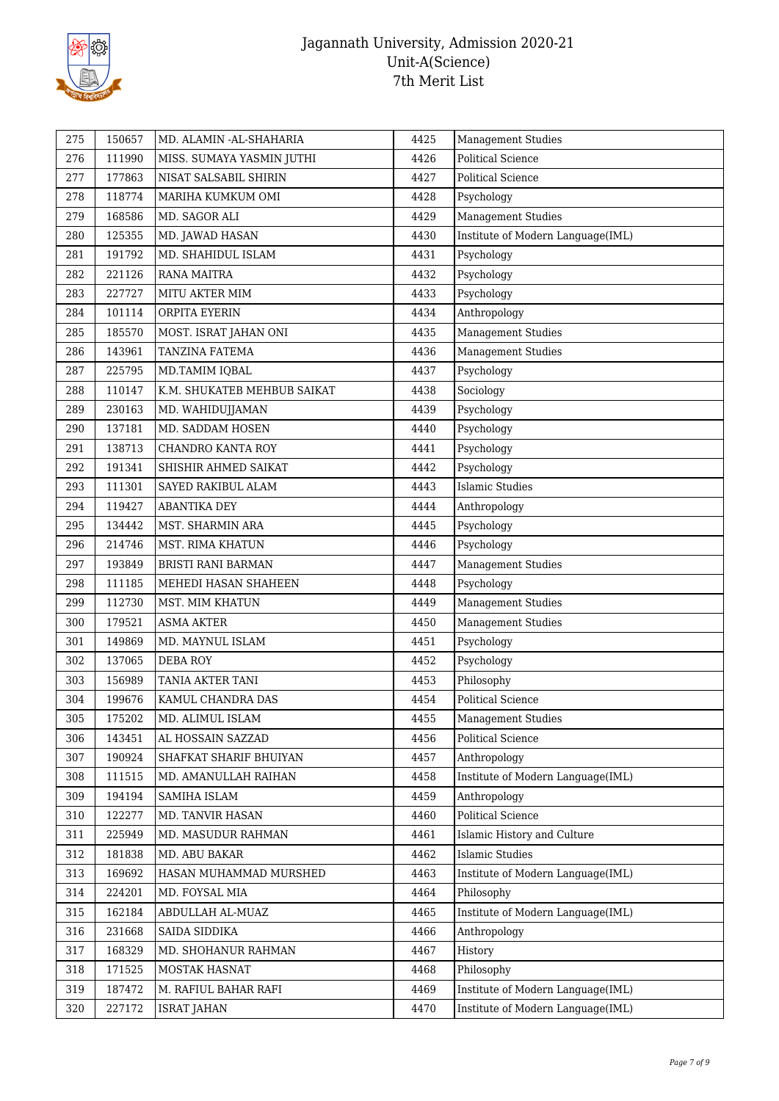

| 276<br>111990<br>4426<br><b>Political Science</b><br>MISS. SUMAYA YASMIN JUTHI<br>277<br>177863<br>NISAT SALSABIL SHIRIN<br>4427<br><b>Political Science</b><br>118774<br>4428<br>Psychology<br>278<br>MARIHA KUMKUM OMI<br><b>Management Studies</b><br>279<br>168586<br>MD. SAGOR ALI<br>4429<br>Institute of Modern Language(IML)<br>280<br>4430<br>125355<br>MD. JAWAD HASAN<br>281<br>191792<br>MD. SHAHIDUL ISLAM<br>4431<br>Psychology<br>282<br>221126<br><b>RANA MAITRA</b><br>4432<br>Psychology<br>Psychology<br>283<br>227727<br>4433<br>MITU AKTER MIM<br>Anthropology<br>284<br>101114<br>ORPITA EYERIN<br>4434<br>185570<br>4435<br><b>Management Studies</b><br>285<br>MOST. ISRAT JAHAN ONI<br>Management Studies<br>286<br>143961<br>TANZINA FATEMA<br>4436<br>287<br>225795<br>Psychology<br>MD.TAMIM IQBAL<br>4437<br>Sociology<br>288<br>110147<br>K.M. SHUKATEB MEHBUB SAIKAT<br>4438<br>289<br>230163<br>4439<br>Psychology<br>MD. WAHIDUJJAMAN<br>137181<br>Psychology<br>290<br>MD. SADDAM HOSEN<br>4440<br>291<br>138713<br>4441<br>CHANDRO KANTA ROY<br>Psychology<br>Psychology<br>292<br>191341<br>4442<br>SHISHIR AHMED SAIKAT<br><b>Islamic Studies</b><br>111301<br>4443<br>293<br>SAYED RAKIBUL ALAM<br>294<br>119427<br>ABANTIKA DEY<br>4444<br>Anthropology<br>Psychology<br>295<br>134442<br>4445<br>MST. SHARMIN ARA<br>214746<br>Psychology<br>296<br>MST. RIMA KHATUN<br>4446<br>Management Studies<br>297<br>193849<br>4447<br>BRISTI RANI BARMAN<br>Psychology<br>298<br>111185<br>MEHEDI HASAN SHAHEEN<br>4448<br>112730<br><b>Management Studies</b><br>299<br>MST. MIM KHATUN<br>4449<br>Management Studies<br>179521<br><b>ASMA AKTER</b><br>300<br>4450<br>Psychology<br>301<br>149869<br>MD. MAYNUL ISLAM<br>4451<br>302<br>Psychology<br>137065<br><b>DEBA ROY</b><br>4452<br>303<br>156989<br>Philosophy<br><b>TANIA AKTER TANI</b><br>4453<br>304<br>199676<br>4454<br><b>Political Science</b><br>KAMUL CHANDRA DAS<br>305<br>175202<br>MD. ALIMUL ISLAM<br>4455<br><b>Management Studies</b><br>143451<br>AL HOSSAIN SAZZAD<br>4456<br>Political Science<br>306<br>307<br>190924<br>4457<br>Anthropology<br>SHAFKAT SHARIF BHUIYAN<br>Institute of Modern Language(IML)<br>308<br>111515<br>MD. AMANULLAH RAIHAN<br>4458<br>309<br>194194<br>SAMIHA ISLAM<br>4459<br>Anthropology<br>310<br>122277<br>MD. TANVIR HASAN<br>4460<br>Political Science<br>225949<br>4461<br>311<br>MD. MASUDUR RAHMAN<br>Islamic History and Culture<br>312<br>4462<br><b>Islamic Studies</b><br>181838<br>MD. ABU BAKAR<br>169692<br>313<br>HASAN MUHAMMAD MURSHED<br>4463<br>Institute of Modern Language(IML)<br>224201<br>MD. FOYSAL MIA<br>4464<br>Philosophy<br>314<br>315<br>162184<br>ABDULLAH AL-MUAZ<br>4465<br>Institute of Modern Language(IML)<br>316<br>231668<br>SAIDA SIDDIKA<br>4466<br>Anthropology<br>317<br>168329<br>MD. SHOHANUR RAHMAN<br>4467<br>History<br>Philosophy<br>318<br>171525<br>MOSTAK HASNAT<br>4468<br>187472<br>Institute of Modern Language(IML)<br>319<br>M. RAFIUL BAHAR RAFI<br>4469 | 275 | 150657 | MD. ALAMIN - AL-SHAHARIA | 4425 | <b>Management Studies</b>         |
|-----------------------------------------------------------------------------------------------------------------------------------------------------------------------------------------------------------------------------------------------------------------------------------------------------------------------------------------------------------------------------------------------------------------------------------------------------------------------------------------------------------------------------------------------------------------------------------------------------------------------------------------------------------------------------------------------------------------------------------------------------------------------------------------------------------------------------------------------------------------------------------------------------------------------------------------------------------------------------------------------------------------------------------------------------------------------------------------------------------------------------------------------------------------------------------------------------------------------------------------------------------------------------------------------------------------------------------------------------------------------------------------------------------------------------------------------------------------------------------------------------------------------------------------------------------------------------------------------------------------------------------------------------------------------------------------------------------------------------------------------------------------------------------------------------------------------------------------------------------------------------------------------------------------------------------------------------------------------------------------------------------------------------------------------------------------------------------------------------------------------------------------------------------------------------------------------------------------------------------------------------------------------------------------------------------------------------------------------------------------------------------------------------------------------------------------------------------------------------------------------------------------------------------------------------------------------------------------------------------------------------------------------------------------------------------------------------------------------------------------------------------------------------------------------------------------------------------------------------------------------------------------------------------------------------------------------------------------------------------------------------------------------------------------------------------------|-----|--------|--------------------------|------|-----------------------------------|
|                                                                                                                                                                                                                                                                                                                                                                                                                                                                                                                                                                                                                                                                                                                                                                                                                                                                                                                                                                                                                                                                                                                                                                                                                                                                                                                                                                                                                                                                                                                                                                                                                                                                                                                                                                                                                                                                                                                                                                                                                                                                                                                                                                                                                                                                                                                                                                                                                                                                                                                                                                                                                                                                                                                                                                                                                                                                                                                                                                                                                                                                 |     |        |                          |      |                                   |
|                                                                                                                                                                                                                                                                                                                                                                                                                                                                                                                                                                                                                                                                                                                                                                                                                                                                                                                                                                                                                                                                                                                                                                                                                                                                                                                                                                                                                                                                                                                                                                                                                                                                                                                                                                                                                                                                                                                                                                                                                                                                                                                                                                                                                                                                                                                                                                                                                                                                                                                                                                                                                                                                                                                                                                                                                                                                                                                                                                                                                                                                 |     |        |                          |      |                                   |
|                                                                                                                                                                                                                                                                                                                                                                                                                                                                                                                                                                                                                                                                                                                                                                                                                                                                                                                                                                                                                                                                                                                                                                                                                                                                                                                                                                                                                                                                                                                                                                                                                                                                                                                                                                                                                                                                                                                                                                                                                                                                                                                                                                                                                                                                                                                                                                                                                                                                                                                                                                                                                                                                                                                                                                                                                                                                                                                                                                                                                                                                 |     |        |                          |      |                                   |
|                                                                                                                                                                                                                                                                                                                                                                                                                                                                                                                                                                                                                                                                                                                                                                                                                                                                                                                                                                                                                                                                                                                                                                                                                                                                                                                                                                                                                                                                                                                                                                                                                                                                                                                                                                                                                                                                                                                                                                                                                                                                                                                                                                                                                                                                                                                                                                                                                                                                                                                                                                                                                                                                                                                                                                                                                                                                                                                                                                                                                                                                 |     |        |                          |      |                                   |
|                                                                                                                                                                                                                                                                                                                                                                                                                                                                                                                                                                                                                                                                                                                                                                                                                                                                                                                                                                                                                                                                                                                                                                                                                                                                                                                                                                                                                                                                                                                                                                                                                                                                                                                                                                                                                                                                                                                                                                                                                                                                                                                                                                                                                                                                                                                                                                                                                                                                                                                                                                                                                                                                                                                                                                                                                                                                                                                                                                                                                                                                 |     |        |                          |      |                                   |
|                                                                                                                                                                                                                                                                                                                                                                                                                                                                                                                                                                                                                                                                                                                                                                                                                                                                                                                                                                                                                                                                                                                                                                                                                                                                                                                                                                                                                                                                                                                                                                                                                                                                                                                                                                                                                                                                                                                                                                                                                                                                                                                                                                                                                                                                                                                                                                                                                                                                                                                                                                                                                                                                                                                                                                                                                                                                                                                                                                                                                                                                 |     |        |                          |      |                                   |
|                                                                                                                                                                                                                                                                                                                                                                                                                                                                                                                                                                                                                                                                                                                                                                                                                                                                                                                                                                                                                                                                                                                                                                                                                                                                                                                                                                                                                                                                                                                                                                                                                                                                                                                                                                                                                                                                                                                                                                                                                                                                                                                                                                                                                                                                                                                                                                                                                                                                                                                                                                                                                                                                                                                                                                                                                                                                                                                                                                                                                                                                 |     |        |                          |      |                                   |
|                                                                                                                                                                                                                                                                                                                                                                                                                                                                                                                                                                                                                                                                                                                                                                                                                                                                                                                                                                                                                                                                                                                                                                                                                                                                                                                                                                                                                                                                                                                                                                                                                                                                                                                                                                                                                                                                                                                                                                                                                                                                                                                                                                                                                                                                                                                                                                                                                                                                                                                                                                                                                                                                                                                                                                                                                                                                                                                                                                                                                                                                 |     |        |                          |      |                                   |
|                                                                                                                                                                                                                                                                                                                                                                                                                                                                                                                                                                                                                                                                                                                                                                                                                                                                                                                                                                                                                                                                                                                                                                                                                                                                                                                                                                                                                                                                                                                                                                                                                                                                                                                                                                                                                                                                                                                                                                                                                                                                                                                                                                                                                                                                                                                                                                                                                                                                                                                                                                                                                                                                                                                                                                                                                                                                                                                                                                                                                                                                 |     |        |                          |      |                                   |
|                                                                                                                                                                                                                                                                                                                                                                                                                                                                                                                                                                                                                                                                                                                                                                                                                                                                                                                                                                                                                                                                                                                                                                                                                                                                                                                                                                                                                                                                                                                                                                                                                                                                                                                                                                                                                                                                                                                                                                                                                                                                                                                                                                                                                                                                                                                                                                                                                                                                                                                                                                                                                                                                                                                                                                                                                                                                                                                                                                                                                                                                 |     |        |                          |      |                                   |
|                                                                                                                                                                                                                                                                                                                                                                                                                                                                                                                                                                                                                                                                                                                                                                                                                                                                                                                                                                                                                                                                                                                                                                                                                                                                                                                                                                                                                                                                                                                                                                                                                                                                                                                                                                                                                                                                                                                                                                                                                                                                                                                                                                                                                                                                                                                                                                                                                                                                                                                                                                                                                                                                                                                                                                                                                                                                                                                                                                                                                                                                 |     |        |                          |      |                                   |
|                                                                                                                                                                                                                                                                                                                                                                                                                                                                                                                                                                                                                                                                                                                                                                                                                                                                                                                                                                                                                                                                                                                                                                                                                                                                                                                                                                                                                                                                                                                                                                                                                                                                                                                                                                                                                                                                                                                                                                                                                                                                                                                                                                                                                                                                                                                                                                                                                                                                                                                                                                                                                                                                                                                                                                                                                                                                                                                                                                                                                                                                 |     |        |                          |      |                                   |
|                                                                                                                                                                                                                                                                                                                                                                                                                                                                                                                                                                                                                                                                                                                                                                                                                                                                                                                                                                                                                                                                                                                                                                                                                                                                                                                                                                                                                                                                                                                                                                                                                                                                                                                                                                                                                                                                                                                                                                                                                                                                                                                                                                                                                                                                                                                                                                                                                                                                                                                                                                                                                                                                                                                                                                                                                                                                                                                                                                                                                                                                 |     |        |                          |      |                                   |
|                                                                                                                                                                                                                                                                                                                                                                                                                                                                                                                                                                                                                                                                                                                                                                                                                                                                                                                                                                                                                                                                                                                                                                                                                                                                                                                                                                                                                                                                                                                                                                                                                                                                                                                                                                                                                                                                                                                                                                                                                                                                                                                                                                                                                                                                                                                                                                                                                                                                                                                                                                                                                                                                                                                                                                                                                                                                                                                                                                                                                                                                 |     |        |                          |      |                                   |
|                                                                                                                                                                                                                                                                                                                                                                                                                                                                                                                                                                                                                                                                                                                                                                                                                                                                                                                                                                                                                                                                                                                                                                                                                                                                                                                                                                                                                                                                                                                                                                                                                                                                                                                                                                                                                                                                                                                                                                                                                                                                                                                                                                                                                                                                                                                                                                                                                                                                                                                                                                                                                                                                                                                                                                                                                                                                                                                                                                                                                                                                 |     |        |                          |      |                                   |
|                                                                                                                                                                                                                                                                                                                                                                                                                                                                                                                                                                                                                                                                                                                                                                                                                                                                                                                                                                                                                                                                                                                                                                                                                                                                                                                                                                                                                                                                                                                                                                                                                                                                                                                                                                                                                                                                                                                                                                                                                                                                                                                                                                                                                                                                                                                                                                                                                                                                                                                                                                                                                                                                                                                                                                                                                                                                                                                                                                                                                                                                 |     |        |                          |      |                                   |
|                                                                                                                                                                                                                                                                                                                                                                                                                                                                                                                                                                                                                                                                                                                                                                                                                                                                                                                                                                                                                                                                                                                                                                                                                                                                                                                                                                                                                                                                                                                                                                                                                                                                                                                                                                                                                                                                                                                                                                                                                                                                                                                                                                                                                                                                                                                                                                                                                                                                                                                                                                                                                                                                                                                                                                                                                                                                                                                                                                                                                                                                 |     |        |                          |      |                                   |
|                                                                                                                                                                                                                                                                                                                                                                                                                                                                                                                                                                                                                                                                                                                                                                                                                                                                                                                                                                                                                                                                                                                                                                                                                                                                                                                                                                                                                                                                                                                                                                                                                                                                                                                                                                                                                                                                                                                                                                                                                                                                                                                                                                                                                                                                                                                                                                                                                                                                                                                                                                                                                                                                                                                                                                                                                                                                                                                                                                                                                                                                 |     |        |                          |      |                                   |
|                                                                                                                                                                                                                                                                                                                                                                                                                                                                                                                                                                                                                                                                                                                                                                                                                                                                                                                                                                                                                                                                                                                                                                                                                                                                                                                                                                                                                                                                                                                                                                                                                                                                                                                                                                                                                                                                                                                                                                                                                                                                                                                                                                                                                                                                                                                                                                                                                                                                                                                                                                                                                                                                                                                                                                                                                                                                                                                                                                                                                                                                 |     |        |                          |      |                                   |
|                                                                                                                                                                                                                                                                                                                                                                                                                                                                                                                                                                                                                                                                                                                                                                                                                                                                                                                                                                                                                                                                                                                                                                                                                                                                                                                                                                                                                                                                                                                                                                                                                                                                                                                                                                                                                                                                                                                                                                                                                                                                                                                                                                                                                                                                                                                                                                                                                                                                                                                                                                                                                                                                                                                                                                                                                                                                                                                                                                                                                                                                 |     |        |                          |      |                                   |
|                                                                                                                                                                                                                                                                                                                                                                                                                                                                                                                                                                                                                                                                                                                                                                                                                                                                                                                                                                                                                                                                                                                                                                                                                                                                                                                                                                                                                                                                                                                                                                                                                                                                                                                                                                                                                                                                                                                                                                                                                                                                                                                                                                                                                                                                                                                                                                                                                                                                                                                                                                                                                                                                                                                                                                                                                                                                                                                                                                                                                                                                 |     |        |                          |      |                                   |
|                                                                                                                                                                                                                                                                                                                                                                                                                                                                                                                                                                                                                                                                                                                                                                                                                                                                                                                                                                                                                                                                                                                                                                                                                                                                                                                                                                                                                                                                                                                                                                                                                                                                                                                                                                                                                                                                                                                                                                                                                                                                                                                                                                                                                                                                                                                                                                                                                                                                                                                                                                                                                                                                                                                                                                                                                                                                                                                                                                                                                                                                 |     |        |                          |      |                                   |
|                                                                                                                                                                                                                                                                                                                                                                                                                                                                                                                                                                                                                                                                                                                                                                                                                                                                                                                                                                                                                                                                                                                                                                                                                                                                                                                                                                                                                                                                                                                                                                                                                                                                                                                                                                                                                                                                                                                                                                                                                                                                                                                                                                                                                                                                                                                                                                                                                                                                                                                                                                                                                                                                                                                                                                                                                                                                                                                                                                                                                                                                 |     |        |                          |      |                                   |
|                                                                                                                                                                                                                                                                                                                                                                                                                                                                                                                                                                                                                                                                                                                                                                                                                                                                                                                                                                                                                                                                                                                                                                                                                                                                                                                                                                                                                                                                                                                                                                                                                                                                                                                                                                                                                                                                                                                                                                                                                                                                                                                                                                                                                                                                                                                                                                                                                                                                                                                                                                                                                                                                                                                                                                                                                                                                                                                                                                                                                                                                 |     |        |                          |      |                                   |
|                                                                                                                                                                                                                                                                                                                                                                                                                                                                                                                                                                                                                                                                                                                                                                                                                                                                                                                                                                                                                                                                                                                                                                                                                                                                                                                                                                                                                                                                                                                                                                                                                                                                                                                                                                                                                                                                                                                                                                                                                                                                                                                                                                                                                                                                                                                                                                                                                                                                                                                                                                                                                                                                                                                                                                                                                                                                                                                                                                                                                                                                 |     |        |                          |      |                                   |
|                                                                                                                                                                                                                                                                                                                                                                                                                                                                                                                                                                                                                                                                                                                                                                                                                                                                                                                                                                                                                                                                                                                                                                                                                                                                                                                                                                                                                                                                                                                                                                                                                                                                                                                                                                                                                                                                                                                                                                                                                                                                                                                                                                                                                                                                                                                                                                                                                                                                                                                                                                                                                                                                                                                                                                                                                                                                                                                                                                                                                                                                 |     |        |                          |      |                                   |
|                                                                                                                                                                                                                                                                                                                                                                                                                                                                                                                                                                                                                                                                                                                                                                                                                                                                                                                                                                                                                                                                                                                                                                                                                                                                                                                                                                                                                                                                                                                                                                                                                                                                                                                                                                                                                                                                                                                                                                                                                                                                                                                                                                                                                                                                                                                                                                                                                                                                                                                                                                                                                                                                                                                                                                                                                                                                                                                                                                                                                                                                 |     |        |                          |      |                                   |
|                                                                                                                                                                                                                                                                                                                                                                                                                                                                                                                                                                                                                                                                                                                                                                                                                                                                                                                                                                                                                                                                                                                                                                                                                                                                                                                                                                                                                                                                                                                                                                                                                                                                                                                                                                                                                                                                                                                                                                                                                                                                                                                                                                                                                                                                                                                                                                                                                                                                                                                                                                                                                                                                                                                                                                                                                                                                                                                                                                                                                                                                 |     |        |                          |      |                                   |
|                                                                                                                                                                                                                                                                                                                                                                                                                                                                                                                                                                                                                                                                                                                                                                                                                                                                                                                                                                                                                                                                                                                                                                                                                                                                                                                                                                                                                                                                                                                                                                                                                                                                                                                                                                                                                                                                                                                                                                                                                                                                                                                                                                                                                                                                                                                                                                                                                                                                                                                                                                                                                                                                                                                                                                                                                                                                                                                                                                                                                                                                 |     |        |                          |      |                                   |
|                                                                                                                                                                                                                                                                                                                                                                                                                                                                                                                                                                                                                                                                                                                                                                                                                                                                                                                                                                                                                                                                                                                                                                                                                                                                                                                                                                                                                                                                                                                                                                                                                                                                                                                                                                                                                                                                                                                                                                                                                                                                                                                                                                                                                                                                                                                                                                                                                                                                                                                                                                                                                                                                                                                                                                                                                                                                                                                                                                                                                                                                 |     |        |                          |      |                                   |
|                                                                                                                                                                                                                                                                                                                                                                                                                                                                                                                                                                                                                                                                                                                                                                                                                                                                                                                                                                                                                                                                                                                                                                                                                                                                                                                                                                                                                                                                                                                                                                                                                                                                                                                                                                                                                                                                                                                                                                                                                                                                                                                                                                                                                                                                                                                                                                                                                                                                                                                                                                                                                                                                                                                                                                                                                                                                                                                                                                                                                                                                 |     |        |                          |      |                                   |
|                                                                                                                                                                                                                                                                                                                                                                                                                                                                                                                                                                                                                                                                                                                                                                                                                                                                                                                                                                                                                                                                                                                                                                                                                                                                                                                                                                                                                                                                                                                                                                                                                                                                                                                                                                                                                                                                                                                                                                                                                                                                                                                                                                                                                                                                                                                                                                                                                                                                                                                                                                                                                                                                                                                                                                                                                                                                                                                                                                                                                                                                 |     |        |                          |      |                                   |
|                                                                                                                                                                                                                                                                                                                                                                                                                                                                                                                                                                                                                                                                                                                                                                                                                                                                                                                                                                                                                                                                                                                                                                                                                                                                                                                                                                                                                                                                                                                                                                                                                                                                                                                                                                                                                                                                                                                                                                                                                                                                                                                                                                                                                                                                                                                                                                                                                                                                                                                                                                                                                                                                                                                                                                                                                                                                                                                                                                                                                                                                 |     |        |                          |      |                                   |
|                                                                                                                                                                                                                                                                                                                                                                                                                                                                                                                                                                                                                                                                                                                                                                                                                                                                                                                                                                                                                                                                                                                                                                                                                                                                                                                                                                                                                                                                                                                                                                                                                                                                                                                                                                                                                                                                                                                                                                                                                                                                                                                                                                                                                                                                                                                                                                                                                                                                                                                                                                                                                                                                                                                                                                                                                                                                                                                                                                                                                                                                 |     |        |                          |      |                                   |
|                                                                                                                                                                                                                                                                                                                                                                                                                                                                                                                                                                                                                                                                                                                                                                                                                                                                                                                                                                                                                                                                                                                                                                                                                                                                                                                                                                                                                                                                                                                                                                                                                                                                                                                                                                                                                                                                                                                                                                                                                                                                                                                                                                                                                                                                                                                                                                                                                                                                                                                                                                                                                                                                                                                                                                                                                                                                                                                                                                                                                                                                 |     |        |                          |      |                                   |
|                                                                                                                                                                                                                                                                                                                                                                                                                                                                                                                                                                                                                                                                                                                                                                                                                                                                                                                                                                                                                                                                                                                                                                                                                                                                                                                                                                                                                                                                                                                                                                                                                                                                                                                                                                                                                                                                                                                                                                                                                                                                                                                                                                                                                                                                                                                                                                                                                                                                                                                                                                                                                                                                                                                                                                                                                                                                                                                                                                                                                                                                 |     |        |                          |      |                                   |
|                                                                                                                                                                                                                                                                                                                                                                                                                                                                                                                                                                                                                                                                                                                                                                                                                                                                                                                                                                                                                                                                                                                                                                                                                                                                                                                                                                                                                                                                                                                                                                                                                                                                                                                                                                                                                                                                                                                                                                                                                                                                                                                                                                                                                                                                                                                                                                                                                                                                                                                                                                                                                                                                                                                                                                                                                                                                                                                                                                                                                                                                 |     |        |                          |      |                                   |
|                                                                                                                                                                                                                                                                                                                                                                                                                                                                                                                                                                                                                                                                                                                                                                                                                                                                                                                                                                                                                                                                                                                                                                                                                                                                                                                                                                                                                                                                                                                                                                                                                                                                                                                                                                                                                                                                                                                                                                                                                                                                                                                                                                                                                                                                                                                                                                                                                                                                                                                                                                                                                                                                                                                                                                                                                                                                                                                                                                                                                                                                 |     |        |                          |      |                                   |
|                                                                                                                                                                                                                                                                                                                                                                                                                                                                                                                                                                                                                                                                                                                                                                                                                                                                                                                                                                                                                                                                                                                                                                                                                                                                                                                                                                                                                                                                                                                                                                                                                                                                                                                                                                                                                                                                                                                                                                                                                                                                                                                                                                                                                                                                                                                                                                                                                                                                                                                                                                                                                                                                                                                                                                                                                                                                                                                                                                                                                                                                 |     |        |                          |      |                                   |
|                                                                                                                                                                                                                                                                                                                                                                                                                                                                                                                                                                                                                                                                                                                                                                                                                                                                                                                                                                                                                                                                                                                                                                                                                                                                                                                                                                                                                                                                                                                                                                                                                                                                                                                                                                                                                                                                                                                                                                                                                                                                                                                                                                                                                                                                                                                                                                                                                                                                                                                                                                                                                                                                                                                                                                                                                                                                                                                                                                                                                                                                 |     |        |                          |      |                                   |
|                                                                                                                                                                                                                                                                                                                                                                                                                                                                                                                                                                                                                                                                                                                                                                                                                                                                                                                                                                                                                                                                                                                                                                                                                                                                                                                                                                                                                                                                                                                                                                                                                                                                                                                                                                                                                                                                                                                                                                                                                                                                                                                                                                                                                                                                                                                                                                                                                                                                                                                                                                                                                                                                                                                                                                                                                                                                                                                                                                                                                                                                 |     |        |                          |      |                                   |
|                                                                                                                                                                                                                                                                                                                                                                                                                                                                                                                                                                                                                                                                                                                                                                                                                                                                                                                                                                                                                                                                                                                                                                                                                                                                                                                                                                                                                                                                                                                                                                                                                                                                                                                                                                                                                                                                                                                                                                                                                                                                                                                                                                                                                                                                                                                                                                                                                                                                                                                                                                                                                                                                                                                                                                                                                                                                                                                                                                                                                                                                 |     |        |                          |      |                                   |
|                                                                                                                                                                                                                                                                                                                                                                                                                                                                                                                                                                                                                                                                                                                                                                                                                                                                                                                                                                                                                                                                                                                                                                                                                                                                                                                                                                                                                                                                                                                                                                                                                                                                                                                                                                                                                                                                                                                                                                                                                                                                                                                                                                                                                                                                                                                                                                                                                                                                                                                                                                                                                                                                                                                                                                                                                                                                                                                                                                                                                                                                 |     |        |                          |      |                                   |
|                                                                                                                                                                                                                                                                                                                                                                                                                                                                                                                                                                                                                                                                                                                                                                                                                                                                                                                                                                                                                                                                                                                                                                                                                                                                                                                                                                                                                                                                                                                                                                                                                                                                                                                                                                                                                                                                                                                                                                                                                                                                                                                                                                                                                                                                                                                                                                                                                                                                                                                                                                                                                                                                                                                                                                                                                                                                                                                                                                                                                                                                 |     |        |                          |      |                                   |
|                                                                                                                                                                                                                                                                                                                                                                                                                                                                                                                                                                                                                                                                                                                                                                                                                                                                                                                                                                                                                                                                                                                                                                                                                                                                                                                                                                                                                                                                                                                                                                                                                                                                                                                                                                                                                                                                                                                                                                                                                                                                                                                                                                                                                                                                                                                                                                                                                                                                                                                                                                                                                                                                                                                                                                                                                                                                                                                                                                                                                                                                 | 320 | 227172 | <b>ISRAT JAHAN</b>       | 4470 | Institute of Modern Language(IML) |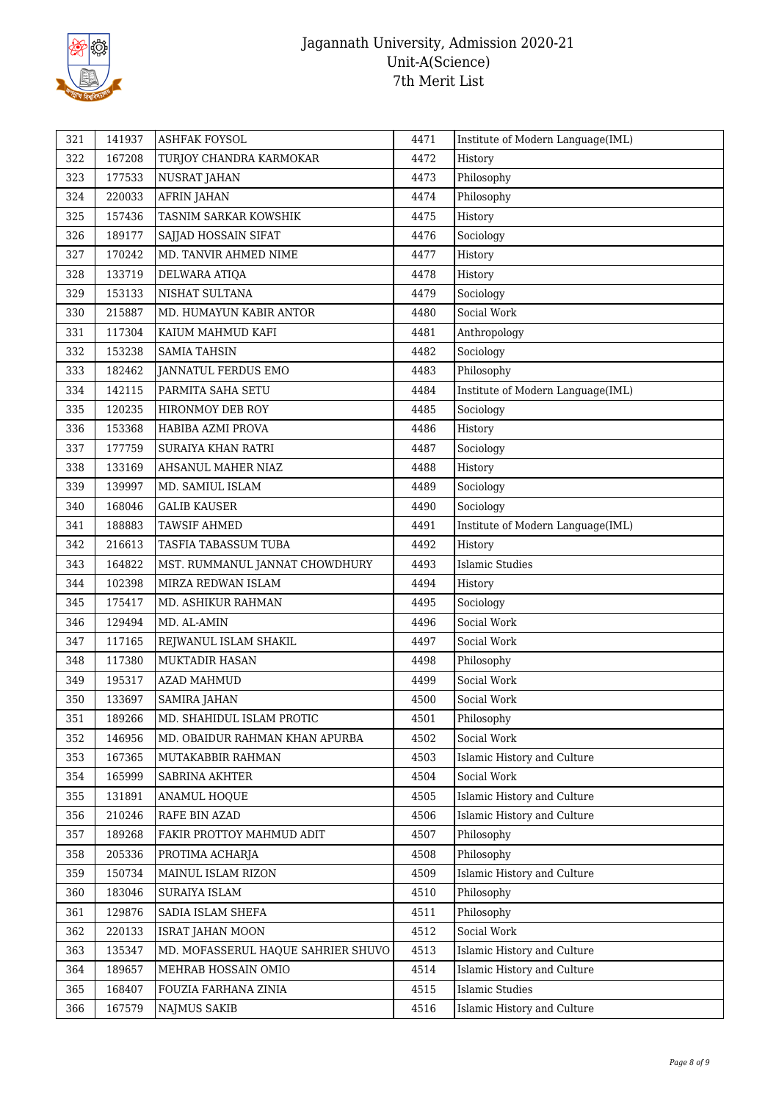

| 321 | 141937 | ASHFAK FOYSOL                      | 4471 | Institute of Modern Language(IML) |
|-----|--------|------------------------------------|------|-----------------------------------|
| 322 | 167208 | TURJOY CHANDRA KARMOKAR            | 4472 | History                           |
| 323 | 177533 | NUSRAT JAHAN                       | 4473 | Philosophy                        |
| 324 | 220033 | <b>AFRIN JAHAN</b>                 | 4474 | Philosophy                        |
| 325 | 157436 | TASNIM SARKAR KOWSHIK              | 4475 | History                           |
| 326 | 189177 | SAJJAD HOSSAIN SIFAT               | 4476 | Sociology                         |
| 327 | 170242 | MD. TANVIR AHMED NIME              | 4477 | History                           |
| 328 | 133719 | DELWARA ATIQA                      | 4478 | History                           |
| 329 | 153133 | NISHAT SULTANA                     | 4479 | Sociology                         |
| 330 | 215887 | MD. HUMAYUN KABIR ANTOR            | 4480 | Social Work                       |
| 331 | 117304 | KAIUM MAHMUD KAFI                  | 4481 | Anthropology                      |
| 332 | 153238 | <b>SAMIA TAHSIN</b>                | 4482 | Sociology                         |
| 333 | 182462 | JANNATUL FERDUS EMO                | 4483 | Philosophy                        |
| 334 | 142115 | PARMITA SAHA SETU                  | 4484 | Institute of Modern Language(IML) |
| 335 | 120235 | HIRONMOY DEB ROY                   | 4485 | Sociology                         |
| 336 | 153368 | HABIBA AZMI PROVA                  | 4486 | History                           |
| 337 | 177759 | <b>SURAIYA KHAN RATRI</b>          | 4487 | Sociology                         |
| 338 | 133169 | AHSANUL MAHER NIAZ                 | 4488 | History                           |
| 339 | 139997 | MD. SAMIUL ISLAM                   | 4489 | Sociology                         |
| 340 | 168046 | <b>GALIB KAUSER</b>                | 4490 | Sociology                         |
| 341 | 188883 | TAWSIF AHMED                       | 4491 | Institute of Modern Language(IML) |
| 342 | 216613 | TASFIA TABASSUM TUBA               | 4492 | History                           |
| 343 | 164822 | MST. RUMMANUL JANNAT CHOWDHURY     | 4493 | <b>Islamic Studies</b>            |
| 344 | 102398 | MIRZA REDWAN ISLAM                 | 4494 | History                           |
| 345 | 175417 | MD. ASHIKUR RAHMAN                 | 4495 | Sociology                         |
| 346 | 129494 | MD. AL-AMIN                        | 4496 | Social Work                       |
| 347 | 117165 | REJWANUL ISLAM SHAKIL              | 4497 | Social Work                       |
| 348 | 117380 | <b>MUKTADIR HASAN</b>              | 4498 | Philosophy                        |
| 349 | 195317 | <b>AZAD MAHMUD</b>                 | 4499 | Social Work                       |
| 350 | 133697 | <b>SAMIRA JAHAN</b>                | 4500 | Social Work                       |
| 351 | 189266 | MD. SHAHIDUL ISLAM PROTIC          | 4501 | Philosophy                        |
| 352 | 146956 | MD. OBAIDUR RAHMAN KHAN APURBA     | 4502 | Social Work                       |
| 353 | 167365 | MUTAKABBIR RAHMAN                  | 4503 | Islamic History and Culture       |
| 354 | 165999 | SABRINA AKHTER                     | 4504 | Social Work                       |
| 355 | 131891 | ANAMUL HOQUE                       | 4505 | Islamic History and Culture       |
| 356 | 210246 | RAFE BIN AZAD                      | 4506 | Islamic History and Culture       |
| 357 | 189268 | FAKIR PROTTOY MAHMUD ADIT          | 4507 | Philosophy                        |
| 358 | 205336 | PROTIMA ACHARJA                    | 4508 | Philosophy                        |
| 359 | 150734 | MAINUL ISLAM RIZON                 | 4509 | Islamic History and Culture       |
| 360 | 183046 | SURAIYA ISLAM                      | 4510 | Philosophy                        |
| 361 | 129876 | SADIA ISLAM SHEFA                  | 4511 | Philosophy                        |
| 362 | 220133 | <b>ISRAT JAHAN MOON</b>            | 4512 | Social Work                       |
| 363 | 135347 | MD. MOFASSERUL HAQUE SAHRIER SHUVO | 4513 | Islamic History and Culture       |
| 364 | 189657 | MEHRAB HOSSAIN OMIO                | 4514 | Islamic History and Culture       |
| 365 | 168407 | FOUZIA FARHANA ZINIA               | 4515 | <b>Islamic Studies</b>            |
| 366 | 167579 | <b>NAJMUS SAKIB</b>                | 4516 | Islamic History and Culture       |